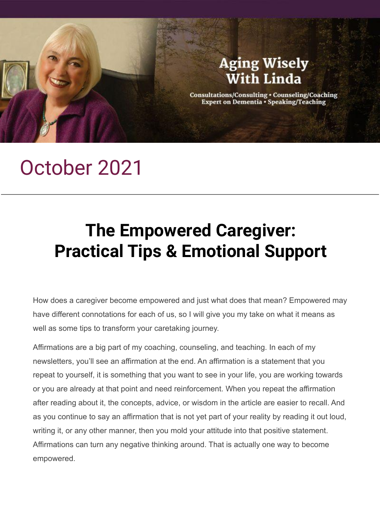

# October 2021

# **The Empowered Caregiver: Practical Tips & Emotional Support**

How does a caregiver become empowered and just what does that mean? Empowered may have different connotations for each of us, so I will give you my take on what it means as well as some tips to transform your caretaking journey.

Affirmations are a big part of my coaching, counseling, and teaching. In each of my newsletters, you'll see an affirmation at the end. An affirmation is a statement that you repeat to yourself, it is something that you want to see in your life, you are working towards or you are already at that point and need reinforcement. When you repeat the affirmation after reading about it, the concepts, advice, or wisdom in the article are easier to recall. And as you continue to say an affirmation that is not yet part of your reality by reading it out loud, writing it, or any other manner, then you mold your attitude into that positive statement. Affirmations can turn any negative thinking around. That is actually one way to become empowered.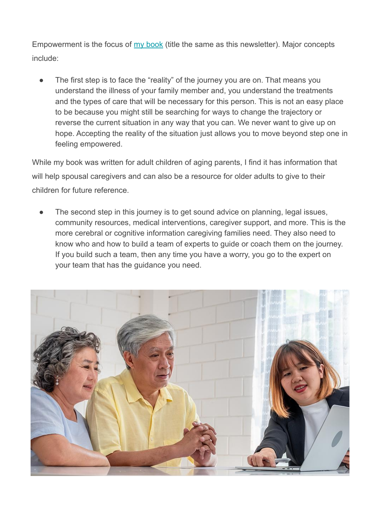Empowerment is the focus of <u>[my book](https://lindafodrinijohnson.com/the-empowered-caregiver/)</u> (title the same as this newsletter). Major concepts include:

The first step is to face the "reality" of the journey you are on. That means you understand the illness of your family member and, you understand the treatments and the types of care that will be necessary for this person. This is not an easy place to be because you might still be searching for ways to change the trajectory or reverse the current situation in any way that you can. We never want to give up on hope. Accepting the reality of the situation just allows you to move beyond step one in feeling empowered.

While my book was written for adult children of aging parents, I find it has information that will help spousal caregivers and can also be a resource for older adults to give to their children for future reference.

The second step in this journey is to get sound advice on planning, legal issues, community resources, medical interventions, caregiver support, and more. This is the more cerebral or cognitive information caregiving families need. They also need to know who and how to build a team of experts to guide or coach them on the journey. If you build such a team, then any time you have a worry, you go to the expert on your team that has the guidance you need.